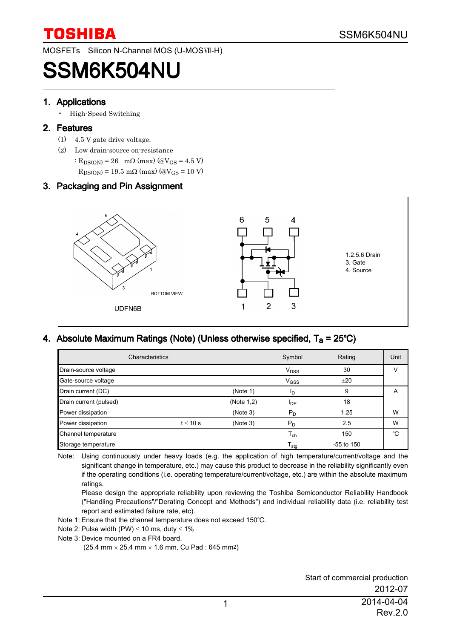MOSFETs Silicon N-Channel MOS (U-MOSVII-H)

# SSM6K504NU

#### 1. Applications

• High-Speed Switching

#### 2. Features

- (1) 4.5 V gate drive voltage.
- (2) Low drain-source on-resistance
	- :  $R_{DS(ON)} = 26$  m $\Omega$  (max) (@V<sub>GS</sub> = 4.5 V)
	- $R_{DS(ON)}$  = 19.5 mΩ (max) (@V<sub>GS</sub> = 10 V)

### 3. Packaging and Pin Assignment



### 4. Absolute Maximum Ratings (Note) (Unless otherwise specified,  $T_a = 25^{\circ}C$ )

| Characteristics        |               |            |                        | Rating       | Unit |
|------------------------|---------------|------------|------------------------|--------------|------|
| Drain-source voltage   |               |            | V <sub>DSS</sub>       | 30           | v    |
| Gate-source voltage    |               |            | V <sub>GSS</sub>       | ±20          |      |
| Drain current (DC)     |               | (Note 1)   | ΙD                     | 9            | A    |
| Drain current (pulsed) |               | (Note 1,2) | <b>I</b> <sub>DP</sub> | 18           |      |
| Power dissipation      |               | (Note 3)   | $P_D$                  | 1.25         | W    |
| Power dissipation      | $t \leq 10$ s | (Note 3)   | $P_D$                  | 2.5          | W    |
| Channel temperature    |               |            | $T_{ch}$               | 150          | °C   |
| Storage temperature    |               |            | $T_{\text{stg}}$       | $-55$ to 150 |      |

Note: Using continuously under heavy loads (e.g. the application of high temperature/current/voltage and the significant change in temperature, etc.) may cause this product to decrease in the reliability significantly even if the operating conditions (i.e. operating temperature/current/voltage, etc.) are within the absolute maximum ratings.

Please design the appropriate reliability upon reviewing the Toshiba Semiconductor Reliability Handbook ("Handling Precautions"/"Derating Concept and Methods") and individual reliability data (i.e. reliability test report and estimated failure rate, etc).

- Note 1: Ensure that the channel temperature does not exceed 150°C.
- Note 2: Pulse width (PW)  $\leq 10$  ms, duty  $\leq 1\%$
- Note 3: Device mounted on a FR4 board.

 $(25.4 \text{ mm} \times 25.4 \text{ mm} \times 1.6 \text{ mm}$ . Cu Pad : 645 mm<sup>2</sup>)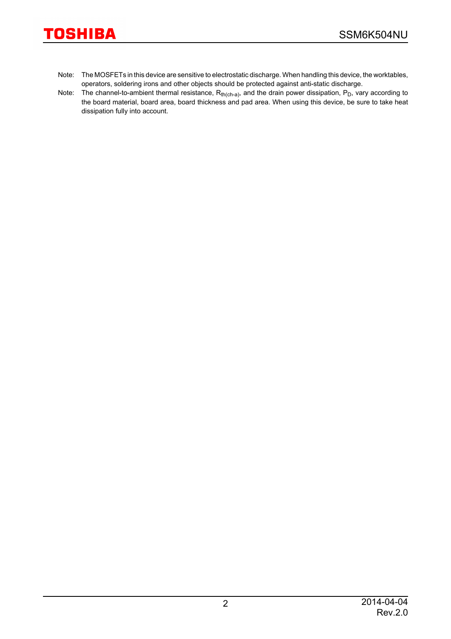- Note: The MOSFETs in this device are sensitive to electrostatic discharge. When handling this device, the worktables, operators, soldering irons and other objects should be protected against anti-static discharge.
- Note: The channel-to-ambient thermal resistance,  $R_{th(ch-a)}$ , and the drain power dissipation,  $P_D$ , vary according to the board material, board area, board thickness and pad area. When using this device, be sure to take heat dissipation fully into account.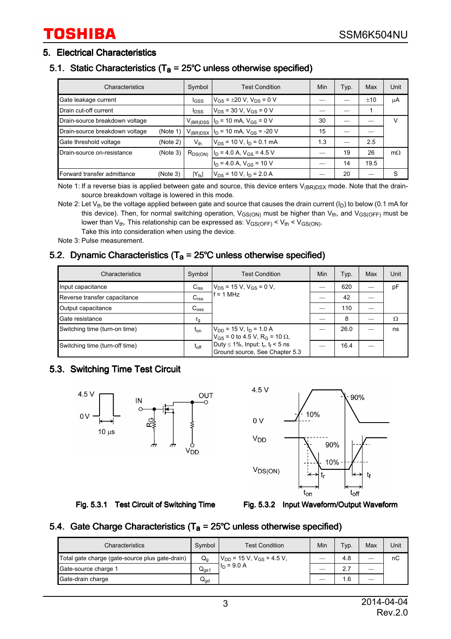#### 5. Electrical Characteristics

### 5.1. Static Characteristics ( $T_a = 25^{\circ}$ C unless otherwise specified)

| Characteristics                |          | Symbol                  | <b>Test Condition</b>                        | Min | Typ. | Max  | Unit      |
|--------------------------------|----------|-------------------------|----------------------------------------------|-----|------|------|-----------|
| Gate leakage current           |          | I <sub>GSS</sub>        | $V_{GS}$ = $\pm 20$ V, $V_{DS}$ = 0 V        |     |      | ±10  | μA        |
| Drain cut-off current          |          | <b>I</b> <sub>DSS</sub> | $V_{DS}$ = 30 V, V <sub>GS</sub> = 0 V       |     |      |      |           |
| Drain-source breakdown voltage |          | $V_{(BR)DSS}$           | $I_D$ = 10 mA, $V_{GS}$ = 0 V                | 30  |      |      | v         |
| Drain-source breakdown voltage | (Note 1) | $V_{(BR)DSX}$           | $I_D$ = 10 mA, $V_{GS}$ = -20 V              | 15  |      |      |           |
| Gate threshold voltage         | (Note 2) | $V_{th}$                | $V_{DS}$ = 10 V, $I_D$ = 0.1 mA              | 1.3 | –    | 2.5  |           |
| Drain-source on-resistance     | (Note 3) |                         | $R_{DS(ON)}$ $I_D = 4.0$ A, $V_{GS} = 4.5$ V |     | 19   | 26   | $m\Omega$ |
|                                |          |                         | $I_D$ = 4.0 A, $V_{GS}$ = 10 V               |     | 14   | 19.5 |           |
| Forward transfer admittance    | (Note 3) | $ Y_{fs} $              | $V_{DS}$ = 10 V, $I_D$ = 2.0 A               |     | 20   |      | S         |

Note 1: If a reverse bias is applied between gate and source, this device enters  $V_{(BR)DSX}$  mode. Note that the drainsource breakdown voltage is lowered in this mode.

Note 2: Let  $V_{th}$  be the voltage applied between gate and source that causes the drain current ( $I_D$ ) to below (0.1 mA for this device). Then, for normal switching operation,  $V_{GS(ON)}$  must be higher than  $V_{th}$ , and  $V_{GS(OFF)}$  must be lower than  $V_{th}$ . This relationship can be expressed as:  $V_{GS(OFF)} < V_{th} < V_{GS(ON)}$ . Take this into consideration when using the device.

Note 3: Pulse measurement.

### 5.2. Dynamic Characteristics (T<sub>a</sub> =  $25^{\circ}$ C unless otherwise specified)

| Characteristics                | Symbol           | <b>Test Condition</b>                                                                            | Min | Typ. | Max | Unit |
|--------------------------------|------------------|--------------------------------------------------------------------------------------------------|-----|------|-----|------|
| Input capacitance              | $C_{iss}$        | $V_{DS}$ = 15 V, V <sub>GS</sub> = 0 V,<br>$= 1 MHz$                                             |     | 620  |     | pF   |
| Reverse transfer capacitance   | C <sub>rss</sub> |                                                                                                  |     | 42   |     |      |
| Output capacitance             | $C_{\text{oss}}$ |                                                                                                  |     | 110  |     |      |
| Gate resistance                | $r_{\rm g}$      |                                                                                                  |     | 8    |     | Ω    |
| Switching time (turn-on time)  | $t_{on}$         | $V_{DD}$ = 15 V, I <sub>D</sub> = 1.0 A<br>$V_{GS}$ = 0 to 4.5 V, R <sub>G</sub> = 10 $\Omega$ , |     | 26.0 |     | ns   |
| Switching time (turn-off time) | $t_{off}$        | Duty $\leq 1\%$ , Input: $t_r$ , $t_f$ < 5 ns<br>Ground source, See Chapter 5.3                  |     | 16.4 |     |      |

### 5.3. Switching Time Test Circuit



 $4.5V$ 90% 10%  $0V$ V<sub>DD</sub> 90% 10%  $V_{DS(ON)}$ t∩ff  $t_{\mathsf{on}}$ 



#### 5.4. Gate Charge Characteristics ( $T_a$  = 25°C unless otherwise specified)

| Characteristics                                 | Symbol              | <b>Test Condition</b>                                      | Min | Typ. | Max | Unit |
|-------------------------------------------------|---------------------|------------------------------------------------------------|-----|------|-----|------|
| Total gate charge (gate-source plus gate-drain) | $Q_{\alpha}$        | $V_{DD}$ = 15 V, V <sub>GS</sub> = 4.5 V,<br>$I_D = 9.0 A$ |     | 4.8  |     | nC   |
| Gate-source charge 1                            | ${\sf Q}_{\sf as1}$ |                                                            |     |      |     |      |
| Gate-drain charge                               | Q <sub>ad</sub>     |                                                            |     | 6.،  |     |      |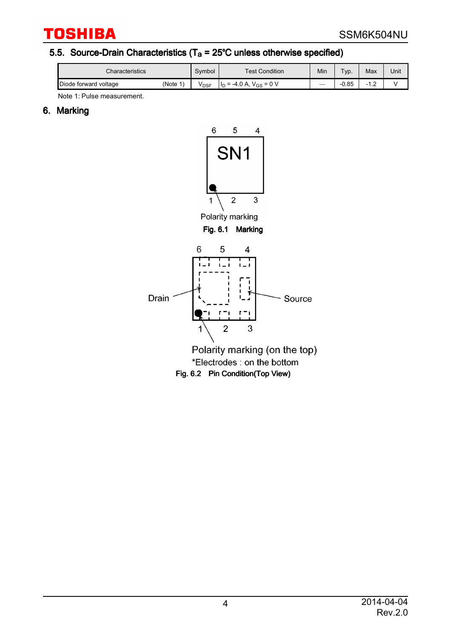### 5.5. Source-Drain Characteristics ( $T_a = 25^{\circ}$ C unless otherwise specified)

| <b>Characteristics</b> |           | Symbol | <b>Test Condition</b>                          | Min                      | $TVD$ . | Max | Unit |
|------------------------|-----------|--------|------------------------------------------------|--------------------------|---------|-----|------|
| Diode forward voltage  | (Note $1$ | VDSF   | $= 0 V$<br>$-4.0 A$<br>$V_{GS}$<br>$=$<br>l Id | $\overline{\phantom{a}}$ | $-0.85$ | .   |      |

Note 1: Pulse measurement.

### 6. Marking

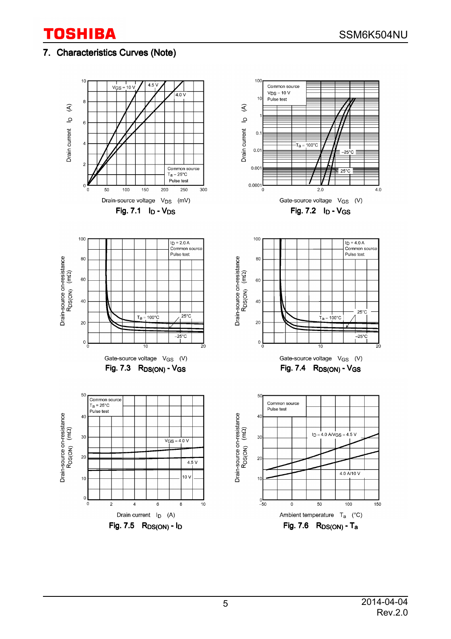### 7. Characteristics Curves (Note)

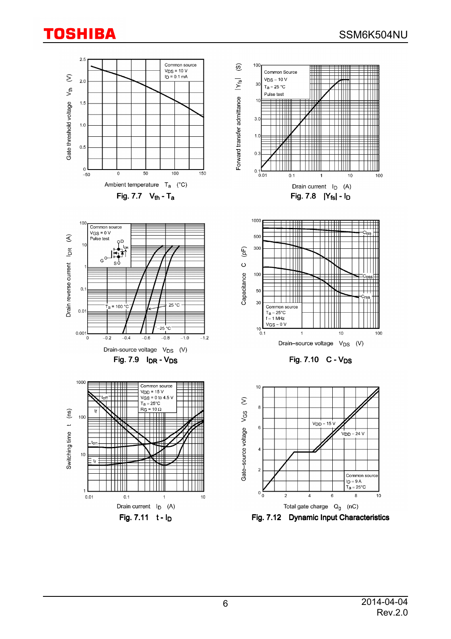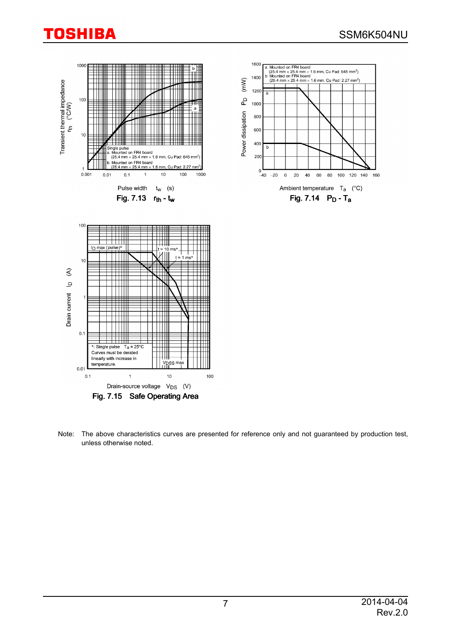

Note: The above characteristics curves are presented for reference only and not guaranteed by production test, unless otherwise noted.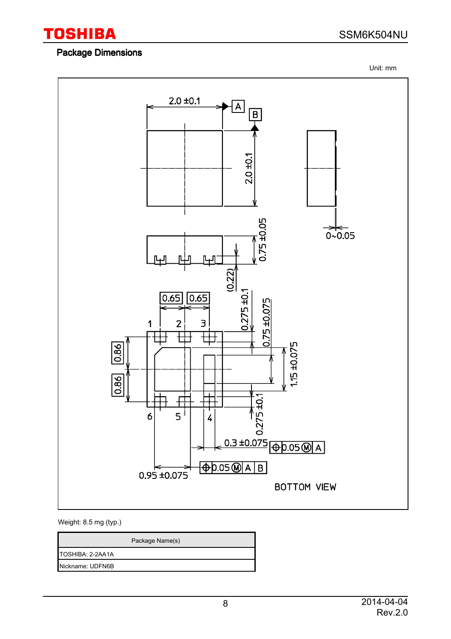

### Package Dimensions

SSM6K504NU

Unit: mm



#### Weight: 8.5 mg (typ.)

Package Name(s)

TOSHIBA: 2-2AA1A

Nickname: UDFN6B